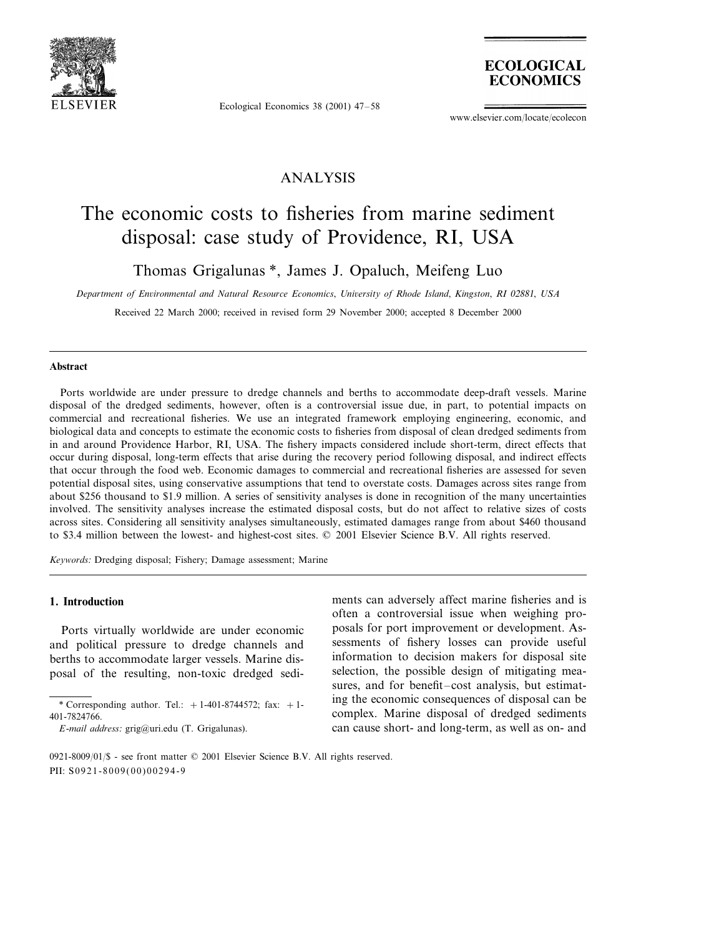

Ecological Economics 38 (2001) 47–58



www.elsevier.com/locate/ecolecon

### ANALYSIS

## The economic costs to fisheries from marine sediment disposal: case study of Providence, RI, USA

Thomas Grigalunas \*, James J. Opaluch, Meifeng Luo

*Department of Enironmental and Natural Resource Economics*, *Uniersity of Rhode Island*, *Kingston*, *RI* <sup>02881</sup>, *USA*

Received 22 March 2000; received in revised form 29 November 2000; accepted 8 December 2000

#### **Abstract**

Ports worldwide are under pressure to dredge channels and berths to accommodate deep-draft vessels. Marine disposal of the dredged sediments, however, often is a controversial issue due, in part, to potential impacts on commercial and recreational fisheries. We use an integrated framework employing engineering, economic, and biological data and concepts to estimate the economic costs to fisheries from disposal of clean dredged sediments from in and around Providence Harbor, RI, USA. The fishery impacts considered include short-term, direct effects that occur during disposal, long-term effects that arise during the recovery period following disposal, and indirect effects that occur through the food web. Economic damages to commercial and recreational fisheries are assessed for seven potential disposal sites, using conservative assumptions that tend to overstate costs. Damages across sites range from about \$256 thousand to \$1.9 million. A series of sensitivity analyses is done in recognition of the many uncertainties involved. The sensitivity analyses increase the estimated disposal costs, but do not affect to relative sizes of costs across sites. Considering all sensitivity analyses simultaneously, estimated damages range from about \$460 thousand to \$3.4 million between the lowest- and highest-cost sites. © 2001 Elsevier Science B.V. All rights reserved.

*Keywords*: Dredging disposal; Fishery; Damage assessment; Marine

### **1. Introduction**

Ports virtually worldwide are under economic and political pressure to dredge channels and berths to accommodate larger vessels. Marine disposal of the resulting, non-toxic dredged sediments can adversely affect marine fisheries and is often a controversial issue when weighing proposals for port improvement or development. Assessments of fishery losses can provide useful information to decision makers for disposal site selection, the possible design of mitigating measures, and for benefit–cost analysis, but estimating the economic consequences of disposal can be complex. Marine disposal of dredged sediments can cause short- and long-term, as well as on- and

<sup>\*</sup> Corresponding author. Tel.:  $+1-401-8744572$ ; fax:  $+1-$ 401-7824766.

*E*-*mail address*: grig@uri.edu (T. Grigalunas).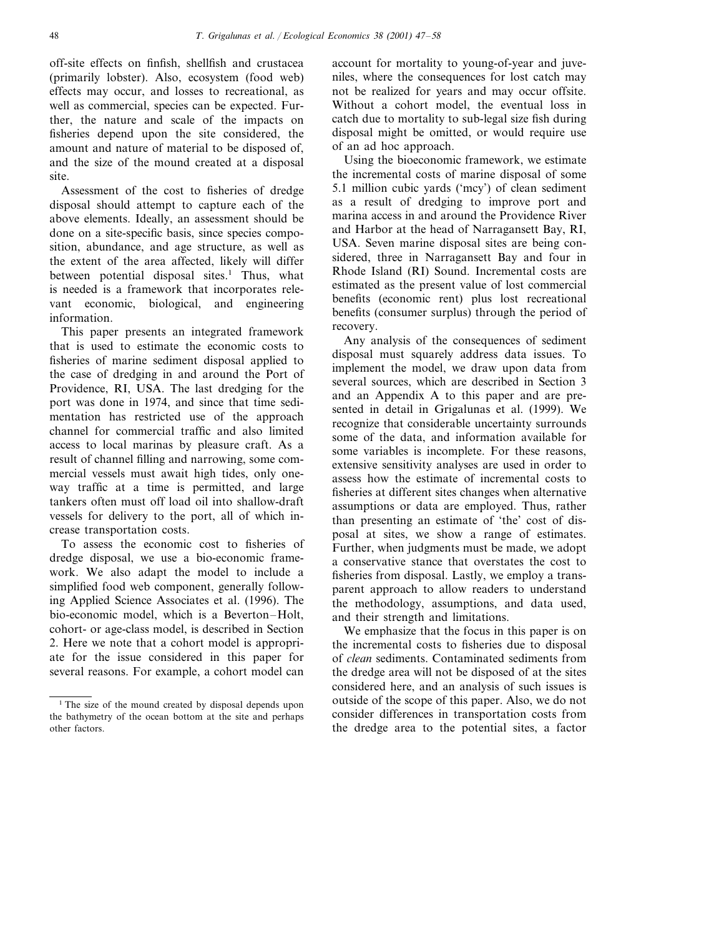off-site effects on finfish, shellfish and crustacea (primarily lobster). Also, ecosystem (food web) effects may occur, and losses to recreational, as well as commercial, species can be expected. Further, the nature and scale of the impacts on fisheries depend upon the site considered, the amount and nature of material to be disposed of, and the size of the mound created at a disposal site.

Assessment of the cost to fisheries of dredge disposal should attempt to capture each of the above elements. Ideally, an assessment should be done on a site-specific basis, since species composition, abundance, and age structure, as well as the extent of the area affected, likely will differ between potential disposal sites.<sup>1</sup> Thus, what is needed is a framework that incorporates relevant economic, biological, and engineering information.

This paper presents an integrated framework that is used to estimate the economic costs to fisheries of marine sediment disposal applied to the case of dredging in and around the Port of Providence, RI, USA. The last dredging for the port was done in 1974, and since that time sedimentation has restricted use of the approach channel for commercial traffic and also limited access to local marinas by pleasure craft. As a result of channel filling and narrowing, some commercial vessels must await high tides, only oneway traffic at a time is permitted, and large tankers often must off load oil into shallow-draft vessels for delivery to the port, all of which increase transportation costs.

To assess the economic cost to fisheries of dredge disposal, we use a bio-economic framework. We also adapt the model to include a simplified food web component, generally following Applied Science Associates et al. (1996). The bio-economic model, which is a Beverton–Holt, cohort- or age-class model, is described in Section 2. Here we note that a cohort model is appropriate for the issue considered in this paper for several reasons. For example, a cohort model can

account for mortality to young-of-year and juveniles, where the consequences for lost catch may not be realized for years and may occur offsite. Without a cohort model, the eventual loss in catch due to mortality to sub-legal size fish during disposal might be omitted, or would require use of an ad hoc approach.

Using the bioeconomic framework, we estimate the incremental costs of marine disposal of some 5.1 million cubic yards ('mcy') of clean sediment as a result of dredging to improve port and marina access in and around the Providence River and Harbor at the head of Narragansett Bay, RI, USA. Seven marine disposal sites are being considered, three in Narragansett Bay and four in Rhode Island (RI) Sound. Incremental costs are estimated as the present value of lost commercial benefits (economic rent) plus lost recreational benefits (consumer surplus) through the period of recovery.

Any analysis of the consequences of sediment disposal must squarely address data issues. To implement the model, we draw upon data from several sources, which are described in Section 3 and an Appendix A to this paper and are presented in detail in Grigalunas et al. (1999). We recognize that considerable uncertainty surrounds some of the data, and information available for some variables is incomplete. For these reasons, extensive sensitivity analyses are used in order to assess how the estimate of incremental costs to fisheries at different sites changes when alternative assumptions or data are employed. Thus, rather than presenting an estimate of 'the' cost of disposal at sites, we show a range of estimates. Further, when judgments must be made, we adopt a conservative stance that overstates the cost to fisheries from disposal. Lastly, we employ a transparent approach to allow readers to understand the methodology, assumptions, and data used, and their strength and limitations.

We emphasize that the focus in this paper is on the incremental costs to fisheries due to disposal of *clean* sediments. Contaminated sediments from the dredge area will not be disposed of at the sites considered here, and an analysis of such issues is outside of the scope of this paper. Also, we do not consider differences in transportation costs from the dredge area to the potential sites, a factor

<sup>&</sup>lt;sup>1</sup> The size of the mound created by disposal depends upon the bathymetry of the ocean bottom at the site and perhaps other factors.